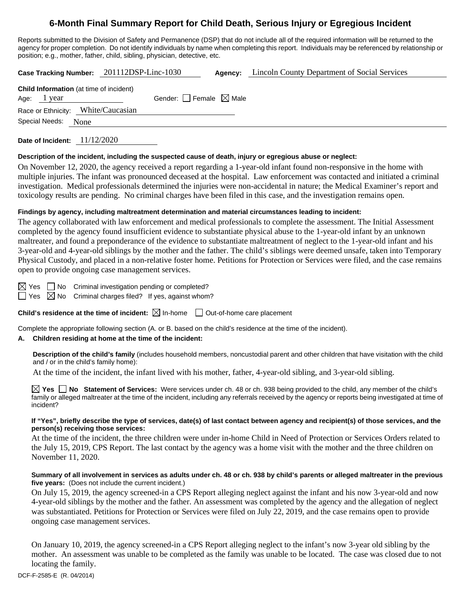# **6-Month Final Summary Report for Child Death, Serious Injury or Egregious Incident**

Reports submitted to the Division of Safety and Permanence (DSP) that do not include all of the required information will be returned to the agency for proper completion. Do not identify individuals by name when completing this report. Individuals may be referenced by relationship or position; e.g., mother, father, child, sibling, physician, detective, etc.

**Case Tracking Number:** 201112DSP-Linc-1030 **Agency:** Lincoln County Department of Social Services

| <b>Child Information</b> (at time of incident)<br>Age: $1$ year |                                    | Gender: $\Box$ Female $\boxtimes$ Male |  |
|-----------------------------------------------------------------|------------------------------------|----------------------------------------|--|
|                                                                 | Race or Ethnicity: White/Caucasian |                                        |  |
| Special Needs: None                                             |                                    |                                        |  |
|                                                                 |                                    |                                        |  |

**Date of Incident:** 11/12/2020

### **Description of the incident, including the suspected cause of death, injury or egregious abuse or neglect:**

On November 12, 2020, the agency received a report regarding a 1-year-old infant found non-responsive in the home with multiple injuries. The infant was pronounced deceased at the hospital. Law enforcement was contacted and initiated a criminal investigation. Medical professionals determined the injuries were non-accidental in nature; the Medical Examiner's report and toxicology results are pending. No criminal charges have been filed in this case, and the investigation remains open.

### **Findings by agency, including maltreatment determination and material circumstances leading to incident:**

The agency collaborated with law enforcement and medical professionals to complete the assessment. The Initial Assessment completed by the agency found insufficient evidence to substantiate physical abuse to the 1-year-old infant by an unknown maltreater, and found a preponderance of the evidence to substantiate maltreatment of neglect to the 1-year-old infant and his 3-year-old and 4-year-old siblings by the mother and the father. The child's siblings were deemed unsafe, taken into Temporary Physical Custody, and placed in a non-relative foster home. Petitions for Protection or Services were filed, and the case remains open to provide ongoing case management services.

 $\boxtimes$  Yes  $\Box$  No Criminal investigation pending or completed?

 $\Box$  Yes  $\boxtimes$  No Criminal charges filed? If yes, against whom?

**Child's residence at the time of incident:**  $\boxtimes$  In-home  $\Box$  Out-of-home care placement

Complete the appropriate following section (A. or B. based on the child's residence at the time of the incident).

# **A. Children residing at home at the time of the incident:**

**Description of the child's family** (includes household members, noncustodial parent and other children that have visitation with the child and / or in the child's family home):

At the time of the incident, the infant lived with his mother, father, 4-year-old sibling, and 3-year-old sibling.

**Yes No Statement of Services:** Were services under ch. 48 or ch. 938 being provided to the child, any member of the child's family or alleged maltreater at the time of the incident, including any referrals received by the agency or reports being investigated at time of incident?

### **If "Yes", briefly describe the type of services, date(s) of last contact between agency and recipient(s) of those services, and the person(s) receiving those services:**

At the time of the incident, the three children were under in-home Child in Need of Protection or Services Orders related to the July 15, 2019, CPS Report. The last contact by the agency was a home visit with the mother and the three children on November 11, 2020.

### **Summary of all involvement in services as adults under ch. 48 or ch. 938 by child's parents or alleged maltreater in the previous five years:** (Does not include the current incident.)

On July 15, 2019, the agency screened-in a CPS Report alleging neglect against the infant and his now 3-year-old and now 4-year-old siblings by the mother and the father. An assessment was completed by the agency and the allegation of neglect was substantiated. Petitions for Protection or Services were filed on July 22, 2019, and the case remains open to provide ongoing case management services.

On January 10, 2019, the agency screened-in a CPS Report alleging neglect to the infant's now 3-year old sibling by the mother. An assessment was unable to be completed as the family was unable to be located. The case was closed due to not locating the family.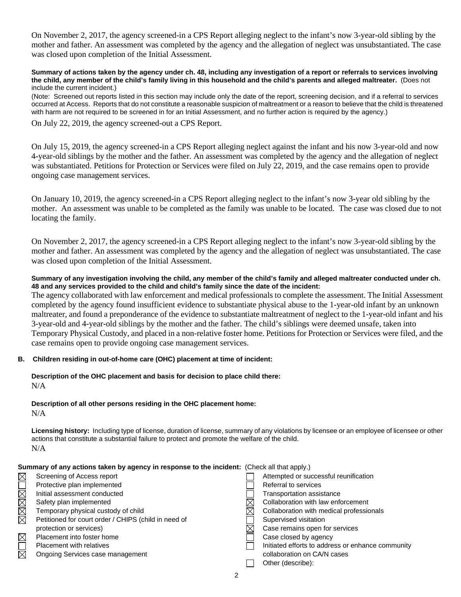On November 2, 2017, the agency screened-in a CPS Report alleging neglect to the infant's now 3-year-old sibling by the mother and father. An assessment was completed by the agency and the allegation of neglect was unsubstantiated. The case was closed upon completion of the Initial Assessment.

**Summary of actions taken by the agency under ch. 48, including any investigation of a report or referrals to services involving the child, any member of the child's family living in this household and the child's parents and alleged maltreater.** (Does not include the current incident.)

(Note: Screened out reports listed in this section may include only the date of the report, screening decision, and if a referral to services occurred at Access. Reports that do not constitute a reasonable suspicion of maltreatment or a reason to believe that the child is threatened with harm are not required to be screened in for an Initial Assessment, and no further action is required by the agency.)

On July 22, 2019, the agency screened-out a CPS Report.

On July 15, 2019, the agency screened-in a CPS Report alleging neglect against the infant and his now 3-year-old and now 4-year-old siblings by the mother and the father. An assessment was completed by the agency and the allegation of neglect was substantiated. Petitions for Protection or Services were filed on July 22, 2019, and the case remains open to provide ongoing case management services.

On January 10, 2019, the agency screened-in a CPS Report alleging neglect to the infant's now 3-year old sibling by the mother. An assessment was unable to be completed as the family was unable to be located. The case was closed due to not locating the family.

On November 2, 2017, the agency screened-in a CPS Report alleging neglect to the infant's now 3-year-old sibling by the mother and father. An assessment was completed by the agency and the allegation of neglect was unsubstantiated. The case was closed upon completion of the Initial Assessment.

### **Summary of any investigation involving the child, any member of the child's family and alleged maltreater conducted under ch. 48 and any services provided to the child and child's family since the date of the incident:**

The agency collaborated with law enforcement and medical professionals to complete the assessment. The Initial Assessment completed by the agency found insufficient evidence to substantiate physical abuse to the 1-year-old infant by an unknown maltreater, and found a preponderance of the evidence to substantiate maltreatment of neglect to the 1-year-old infant and his 3-year-old and 4-year-old siblings by the mother and the father. The child's siblings were deemed unsafe, taken into Temporary Physical Custody, and placed in a non-relative foster home. Petitions for Protection or Services were filed, and the case remains open to provide ongoing case management services.

# **B. Children residing in out-of-home care (OHC) placement at time of incident:**

### **Description of the OHC placement and basis for decision to place child there:** N/A

#### **Description of all other persons residing in the OHC placement home:**  $N/A$

**Licensing history:** Including type of license, duration of license, summary of any violations by licensee or an employee of licensee or other actions that constitute a substantial failure to protect and promote the welfare of the child. N/A

|            | Summary of any actions taken by agency in response to the incident: (Check all that apply.) |                                                   |
|------------|---------------------------------------------------------------------------------------------|---------------------------------------------------|
|            | Screening of Access report                                                                  | Attempted or successful reunification             |
| MMMMDM     | Protective plan implemented                                                                 | Referral to services                              |
|            | Initial assessment conducted                                                                | <b>Transportation assistance</b>                  |
|            | Safety plan implemented                                                                     | Collaboration with law enforcement                |
|            | Temporary physical custody of child                                                         | Collaboration with medical professionals          |
|            | Petitioned for court order / CHIPS (child in need of                                        | Supervised visitation                             |
|            | protection or services)                                                                     | Case remains open for services                    |
|            | Placement into foster home                                                                  | Case closed by agency                             |
| <b>MUM</b> | <b>Placement with relatives</b>                                                             | Initiated efforts to address or enhance community |
|            | Ongoing Services case management                                                            | collaboration on CA/N cases                       |
|            |                                                                                             | Other (describe):                                 |
|            | 2                                                                                           |                                                   |